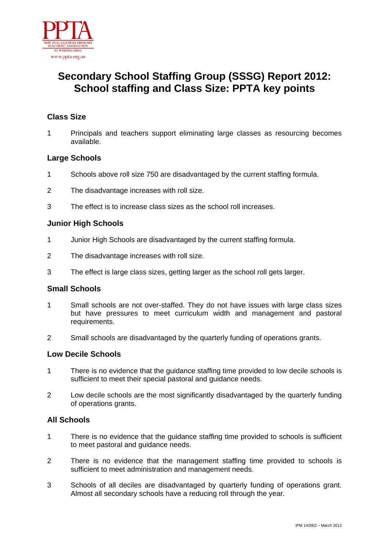

# **Secondary School Staffing Group (SSSG) Report 2012: School staffing and Class Size: PPTA key points**

## **Class Size**

1 Principals and teachers support eliminating large classes as resourcing becomes available.

### **Large Schools**

- 1 Schools above roll size 750 are disadvantaged by the current staffing formula.
- 2 The disadvantage increases with roll size.
- 3 The effect is to increase class sizes as the school roll increases.

### **Junior High Schools**

- 1 Junior High Schools are disadvantaged by the current staffing formula.
- 2 The disadvantage increases with roll size.
- 3 The effect is large class sizes, getting larger as the school roll gets larger.

#### **Small Schools**

- 1 Small schools are not over-staffed. They do not have issues with large class sizes but have pressures to meet curriculum width and management and pastoral requirements.
- 2 Small schools are disadvantaged by the quarterly funding of operations grants.

### **Low Decile Schools**

- 1 There is no evidence that the guidance staffing time provided to low decile schools is sufficient to meet their special pastoral and guidance needs.
- 2 Low decile schools are the most significantly disadvantaged by the quarterly funding of operations grants.

### **All Schools**

- 1 There is no evidence that the guidance staffing time provided to schools is sufficient to meet pastoral and guidance needs.
- 2 There is no evidence that the management staffing time provided to schools is sufficient to meet administration and management needs.
- 3 Schools of all deciles are disadvantaged by quarterly funding of operations grant. Almost all secondary schools have a reducing roll through the year.